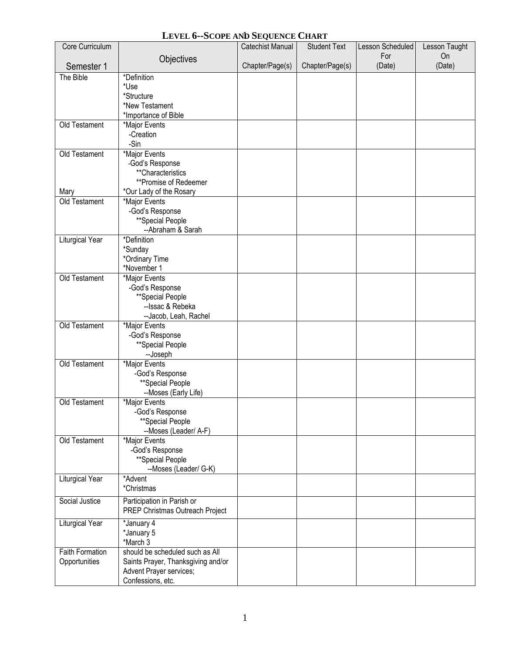## **LEVEL 6--SCOPE AND SEQUENCE CHART**

| Core Curriculum        |                                                               | <b>Catechist Manual</b> | <b>Student Text</b> | Lesson Scheduled | Lesson Taught |
|------------------------|---------------------------------------------------------------|-------------------------|---------------------|------------------|---------------|
|                        | Objectives                                                    |                         |                     | For              | On            |
| Semester 1             |                                                               | Chapter/Page(s)         | Chapter/Page(s)     | (Date)           | (Date)        |
| The Bible              | *Definition                                                   |                         |                     |                  |               |
|                        | *Use<br>*Structure                                            |                         |                     |                  |               |
|                        | *New Testament                                                |                         |                     |                  |               |
|                        | *Importance of Bible                                          |                         |                     |                  |               |
| Old Testament          | *Major Events                                                 |                         |                     |                  |               |
|                        | -Creation                                                     |                         |                     |                  |               |
|                        | -Sin                                                          |                         |                     |                  |               |
| Old Testament          | *Major Events                                                 |                         |                     |                  |               |
|                        | -God's Response                                               |                         |                     |                  |               |
|                        | **Characteristics                                             |                         |                     |                  |               |
|                        | **Promise of Redeemer                                         |                         |                     |                  |               |
| Mary<br>Old Testament  | *Our Lady of the Rosary<br>*Major Events                      |                         |                     |                  |               |
|                        | -God's Response                                               |                         |                     |                  |               |
|                        | **Special People                                              |                         |                     |                  |               |
|                        | --Abraham & Sarah                                             |                         |                     |                  |               |
| Liturgical Year        | *Definition                                                   |                         |                     |                  |               |
|                        | *Sunday                                                       |                         |                     |                  |               |
|                        | *Ordinary Time                                                |                         |                     |                  |               |
|                        | *November 1                                                   |                         |                     |                  |               |
| Old Testament          | *Major Events                                                 |                         |                     |                  |               |
|                        | -God's Response                                               |                         |                     |                  |               |
|                        | **Special People                                              |                         |                     |                  |               |
|                        | --Issac & Rebeka<br>--Jacob, Leah, Rachel                     |                         |                     |                  |               |
| Old Testament          | *Major Events                                                 |                         |                     |                  |               |
|                        | -God's Response                                               |                         |                     |                  |               |
|                        | **Special People                                              |                         |                     |                  |               |
|                        | --Joseph                                                      |                         |                     |                  |               |
| Old Testament          | *Major Events                                                 |                         |                     |                  |               |
|                        | -God's Response                                               |                         |                     |                  |               |
|                        | **Special People                                              |                         |                     |                  |               |
|                        | --Moses (Early Life)                                          |                         |                     |                  |               |
| Old Testament          | *Major Events<br>-God's Response                              |                         |                     |                  |               |
|                        | **Special People                                              |                         |                     |                  |               |
|                        | --Moses (Leader/ A-F)                                         |                         |                     |                  |               |
| Old Testament          | *Major Events                                                 |                         |                     |                  |               |
|                        | -God's Response                                               |                         |                     |                  |               |
|                        | **Special People                                              |                         |                     |                  |               |
|                        | --Moses (Leader/ G-K)                                         |                         |                     |                  |               |
| <b>Liturgical Year</b> | *Advent                                                       |                         |                     |                  |               |
|                        | *Christmas                                                    |                         |                     |                  |               |
| Social Justice         | Participation in Parish or                                    |                         |                     |                  |               |
|                        | PREP Christmas Outreach Project                               |                         |                     |                  |               |
| Liturgical Year        | *January 4                                                    |                         |                     |                  |               |
|                        | *January 5                                                    |                         |                     |                  |               |
|                        | *March 3                                                      |                         |                     |                  |               |
| <b>Faith Formation</b> | should be scheduled such as All                               |                         |                     |                  |               |
| Opportunities          | Saints Prayer, Thanksgiving and/or<br>Advent Prayer services; |                         |                     |                  |               |
|                        | Confessions, etc.                                             |                         |                     |                  |               |